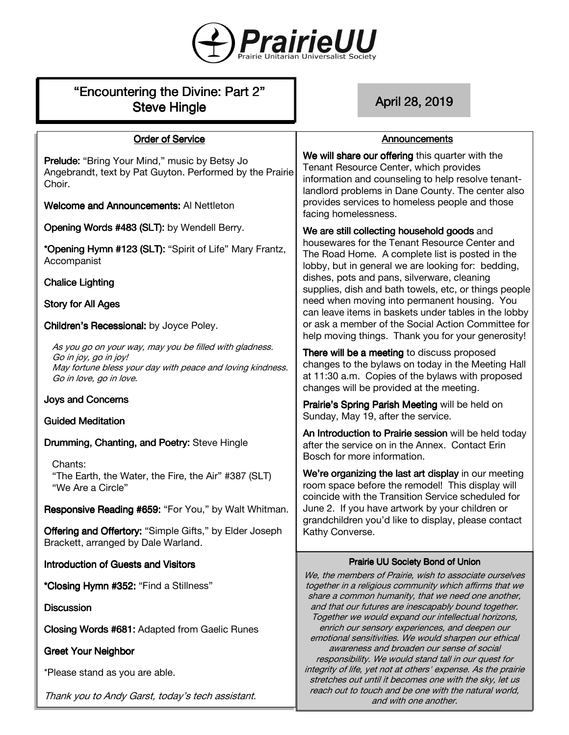

| "Encountering the Divine: Part 2"<br><b>Steve Hingle</b>                                                                                                                  | April 28, 2019                                                                                                                                                                                        |
|---------------------------------------------------------------------------------------------------------------------------------------------------------------------------|-------------------------------------------------------------------------------------------------------------------------------------------------------------------------------------------------------|
| <b>Order of Service</b>                                                                                                                                                   | Announcements                                                                                                                                                                                         |
| <b>Prelude:</b> "Bring Your Mind," music by Betsy Jo<br>Angebrandt, text by Pat Guyton. Performed by the Prairie<br>Choir.                                                | We will share our offering this quarter with the<br>Tenant Resource Center, which provides<br>information and counseling to help resolve tenant-<br>landlord problems in Dane County. The center also |
| <b>Welcome and Announcements: Al Nettleton</b>                                                                                                                            | provides services to homeless people and those<br>facing homelessness.                                                                                                                                |
| Opening Words #483 (SLT): by Wendell Berry.                                                                                                                               | We are still collecting household goods and                                                                                                                                                           |
| *Opening Hymn #123 (SLT): "Spirit of Life" Mary Frantz,<br>Accompanist                                                                                                    | housewares for the Tenant Resource Center and<br>The Road Home. A complete list is posted in the<br>lobby, but in general we are looking for: bedding,                                                |
| <b>Chalice Lighting</b>                                                                                                                                                   | dishes, pots and pans, silverware, cleaning<br>supplies, dish and bath towels, etc, or things people                                                                                                  |
| <b>Story for All Ages</b>                                                                                                                                                 | need when moving into permanent housing. You<br>can leave items in baskets under tables in the lobby                                                                                                  |
| Children's Recessional: by Joyce Poley.                                                                                                                                   | or ask a member of the Social Action Committee for<br>help moving things. Thank you for your generosity!                                                                                              |
| As you go on your way, may you be filled with gladness.<br>Go in joy, go in joy!<br>May fortune bless your day with peace and loving kindness.<br>Go in love, go in love. | There will be a meeting to discuss proposed<br>changes to the bylaws on today in the Meeting Hall<br>at 11:30 a.m. Copies of the bylaws with proposed<br>changes will be provided at the meeting.     |
| <b>Joys and Concerns</b>                                                                                                                                                  | Prairie's Spring Parish Meeting will be held on                                                                                                                                                       |
| <b>Guided Meditation</b>                                                                                                                                                  | Sunday, May 19, after the service.<br>An Introduction to Prairie session will be held today                                                                                                           |
| Drumming, Chanting, and Poetry: Steve Hingle                                                                                                                              | after the service on in the Annex. Contact Erin<br>Bosch for more information.                                                                                                                        |
| Chants:<br>"The Earth, the Water, the Fire, the Air" #387 (SLT)<br>"We Are a Circle"                                                                                      | We're organizing the last art display in our meeting<br>room space before the remodel! This display will<br>coincide with the Transition Service scheduled for                                        |
| Responsive Reading #659: "For You," by Walt Whitman.                                                                                                                      | June 2. If you have artwork by your children or<br>grandchildren you'd like to display, please contact                                                                                                |
| Offering and Offertory: "Simple Gifts," by Elder Joseph<br>Brackett, arranged by Dale Warland.                                                                            | Kathy Converse.                                                                                                                                                                                       |
| <b>Introduction of Guests and Visitors</b>                                                                                                                                | <b>Prairie UU Society Bond of Union</b><br>We, the members of Prairie, wish to associate ourselves                                                                                                    |
| *Closing Hymn #352: "Find a Stillness"                                                                                                                                    | together in a religious community which affirms that we<br>share a common humanity, that we need one another,                                                                                         |
| <b>Discussion</b>                                                                                                                                                         | and that our futures are inescapably bound together.<br>Together we would expand our intellectual horizons,                                                                                           |
| <b>Closing Words #681: Adapted from Gaelic Runes</b>                                                                                                                      | enrich our sensory experiences, and deepen our<br>emotional sensitivities. We would sharpen our ethical                                                                                               |
| <b>Greet Your Neighbor</b>                                                                                                                                                | awareness and broaden our sense of social<br>responsibility. We would stand tall in our quest for                                                                                                     |
| *Please stand as you are able.                                                                                                                                            | integrity of life, yet not at others' expense. As the prairie<br>stretches out until it becomes one with the sky, let us                                                                              |

Thank you to Andy Garst, today's tech assistant.

reach out to touch and be one with the natural world, and with one another.